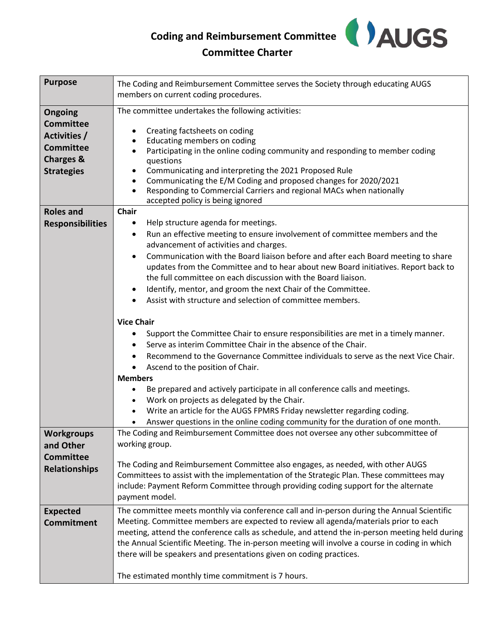

## **Committee Charter**

| <b>Purpose</b>                     | The Coding and Reimbursement Committee serves the Society through educating AUGS<br>members on current coding procedures.                           |
|------------------------------------|-----------------------------------------------------------------------------------------------------------------------------------------------------|
|                                    |                                                                                                                                                     |
| <b>Ongoing</b><br><b>Committee</b> | The committee undertakes the following activities:                                                                                                  |
| Activities /                       | Creating factsheets on coding<br>$\bullet$                                                                                                          |
| <b>Committee</b>                   | Educating members on coding<br>$\bullet$<br>$\bullet$                                                                                               |
| <b>Charges &amp;</b>               | Participating in the online coding community and responding to member coding<br>questions                                                           |
| <b>Strategies</b>                  | Communicating and interpreting the 2021 Proposed Rule                                                                                               |
|                                    | Communicating the E/M Coding and proposed changes for 2020/2021                                                                                     |
|                                    | Responding to Commercial Carriers and regional MACs when nationally<br>$\bullet$                                                                    |
| <b>Roles and</b>                   | accepted policy is being ignored<br><b>Chair</b>                                                                                                    |
| <b>Responsibilities</b>            | Help structure agenda for meetings.<br>٠                                                                                                            |
|                                    | Run an effective meeting to ensure involvement of committee members and the<br>$\bullet$                                                            |
|                                    | advancement of activities and charges.                                                                                                              |
|                                    | Communication with the Board liaison before and after each Board meeting to share<br>$\bullet$                                                      |
|                                    | updates from the Committee and to hear about new Board initiatives. Report back to                                                                  |
|                                    | the full committee on each discussion with the Board liaison.                                                                                       |
|                                    | Identify, mentor, and groom the next Chair of the Committee.<br>$\bullet$                                                                           |
|                                    | Assist with structure and selection of committee members.                                                                                           |
|                                    | <b>Vice Chair</b>                                                                                                                                   |
|                                    | Support the Committee Chair to ensure responsibilities are met in a timely manner.<br>Serve as interim Committee Chair in the absence of the Chair. |
|                                    | Recommend to the Governance Committee individuals to serve as the next Vice Chair.<br>$\bullet$                                                     |
|                                    | Ascend to the position of Chair.                                                                                                                    |
|                                    | <b>Members</b>                                                                                                                                      |
|                                    | Be prepared and actively participate in all conference calls and meetings.                                                                          |
|                                    | Work on projects as delegated by the Chair.<br>$\bullet$                                                                                            |
|                                    | Write an article for the AUGS FPMRS Friday newsletter regarding coding.<br>$\bullet$                                                                |
|                                    | Answer questions in the online coding community for the duration of one month.                                                                      |
| <b>Workgroups</b>                  | The Coding and Reimbursement Committee does not oversee any other subcommittee of                                                                   |
| and Other                          | working group.                                                                                                                                      |
| <b>Committee</b>                   | The Coding and Reimbursement Committee also engages, as needed, with other AUGS                                                                     |
| <b>Relationships</b>               | Committees to assist with the implementation of the Strategic Plan. These committees may                                                            |
|                                    | include: Payment Reform Committee through providing coding support for the alternate                                                                |
|                                    | payment model.                                                                                                                                      |
| <b>Expected</b>                    | The committee meets monthly via conference call and in-person during the Annual Scientific                                                          |
| <b>Commitment</b>                  | Meeting. Committee members are expected to review all agenda/materials prior to each                                                                |
|                                    | meeting, attend the conference calls as schedule, and attend the in-person meeting held during                                                      |
|                                    | the Annual Scientific Meeting. The in-person meeting will involve a course in coding in which                                                       |
|                                    | there will be speakers and presentations given on coding practices.                                                                                 |
|                                    | The estimated monthly time commitment is 7 hours.                                                                                                   |